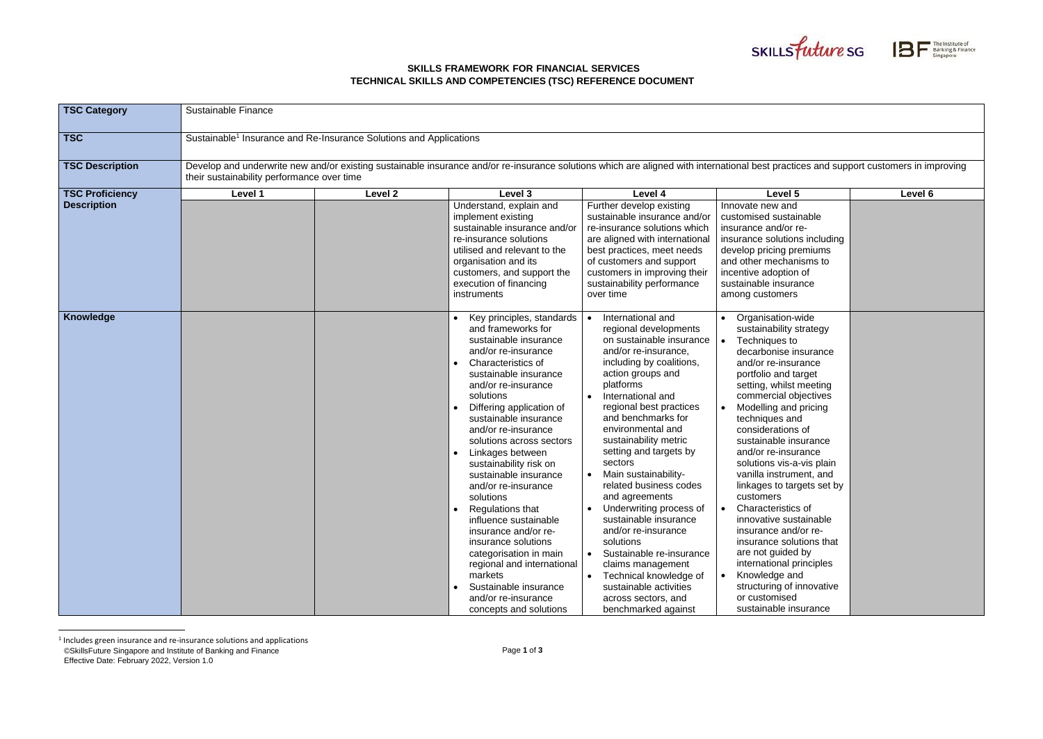## **SKILLS FRAMEWORK FOR FINANCIAL SERVICES TECHNICAL SKILLS AND COMPETENCIES (TSC) REFERENCE DOCUMENT**

| <b>TSC Category</b>    | <b>Sustainable Finance</b>                                                                                                                                                                                                          |         |                                                                                                                                                                                                                                                                                                                                                                                                                                                                                                                                                                                                                                                             |                                                                                                                                                                                                                                                                                                                                                                                                                                                                                                                                                                                                                                      |                                                                                                                                                                                                                                                                                                                                                                                                                                                                                                                                                                                                                                                           |         |  |  |
|------------------------|-------------------------------------------------------------------------------------------------------------------------------------------------------------------------------------------------------------------------------------|---------|-------------------------------------------------------------------------------------------------------------------------------------------------------------------------------------------------------------------------------------------------------------------------------------------------------------------------------------------------------------------------------------------------------------------------------------------------------------------------------------------------------------------------------------------------------------------------------------------------------------------------------------------------------------|--------------------------------------------------------------------------------------------------------------------------------------------------------------------------------------------------------------------------------------------------------------------------------------------------------------------------------------------------------------------------------------------------------------------------------------------------------------------------------------------------------------------------------------------------------------------------------------------------------------------------------------|-----------------------------------------------------------------------------------------------------------------------------------------------------------------------------------------------------------------------------------------------------------------------------------------------------------------------------------------------------------------------------------------------------------------------------------------------------------------------------------------------------------------------------------------------------------------------------------------------------------------------------------------------------------|---------|--|--|
| <b>TSC</b>             | Sustainable <sup>1</sup> Insurance and Re-Insurance Solutions and Applications                                                                                                                                                      |         |                                                                                                                                                                                                                                                                                                                                                                                                                                                                                                                                                                                                                                                             |                                                                                                                                                                                                                                                                                                                                                                                                                                                                                                                                                                                                                                      |                                                                                                                                                                                                                                                                                                                                                                                                                                                                                                                                                                                                                                                           |         |  |  |
| <b>TSC Description</b> | Develop and underwrite new and/or existing sustainable insurance and/or re-insurance solutions which are aligned with international best practices and support customers in improving<br>their sustainability performance over time |         |                                                                                                                                                                                                                                                                                                                                                                                                                                                                                                                                                                                                                                                             |                                                                                                                                                                                                                                                                                                                                                                                                                                                                                                                                                                                                                                      |                                                                                                                                                                                                                                                                                                                                                                                                                                                                                                                                                                                                                                                           |         |  |  |
| <b>TSC Proficiency</b> | Level 1                                                                                                                                                                                                                             | Level 2 | Level 3                                                                                                                                                                                                                                                                                                                                                                                                                                                                                                                                                                                                                                                     | Level 4                                                                                                                                                                                                                                                                                                                                                                                                                                                                                                                                                                                                                              | Level 5                                                                                                                                                                                                                                                                                                                                                                                                                                                                                                                                                                                                                                                   | Level 6 |  |  |
| <b>Description</b>     |                                                                                                                                                                                                                                     |         | Understand, explain and<br>implement existing<br>sustainable insurance and/or<br>re-insurance solutions<br>utilised and relevant to the<br>organisation and its<br>customers, and support the<br>execution of financing<br>instruments                                                                                                                                                                                                                                                                                                                                                                                                                      | Further develop existing<br>sustainable insurance and/or<br>re-insurance solutions which<br>are aligned with international<br>best practices, meet needs<br>of customers and support<br>customers in improving their<br>sustainability performance<br>over time                                                                                                                                                                                                                                                                                                                                                                      | Innovate new and<br>customised sustainable<br>insurance and/or re-<br>insurance solutions including<br>develop pricing premiums<br>and other mechanisms to<br>incentive adoption of<br>sustainable insurance<br>among customers                                                                                                                                                                                                                                                                                                                                                                                                                           |         |  |  |
| Knowledge              |                                                                                                                                                                                                                                     |         | Key principles, standards<br>and frameworks for<br>sustainable insurance<br>and/or re-insurance<br>Characteristics of<br>sustainable insurance<br>and/or re-insurance<br>solutions<br>Differing application of<br>sustainable insurance<br>and/or re-insurance<br>solutions across sectors<br>Linkages between<br>sustainability risk on<br>sustainable insurance<br>and/or re-insurance<br>solutions<br>Regulations that<br>influence sustainable<br>insurance and/or re-<br>insurance solutions<br>categorisation in main<br>regional and international<br>markets<br>Sustainable insurance<br>$\bullet$<br>and/or re-insurance<br>concepts and solutions | International and<br>regional developments<br>on sustainable insurance<br>and/or re-insurance,<br>including by coalitions,<br>action groups and<br>platforms<br>International and<br>regional best practices<br>and benchmarks for<br>environmental and<br>sustainability metric<br>setting and targets by<br>sectors<br>Main sustainability-<br>related business codes<br>and agreements<br>Underwriting process of<br>sustainable insurance<br>and/or re-insurance<br>solutions<br>Sustainable re-insurance<br>claims management<br>Technical knowledge of<br>sustainable activities<br>across sectors, and<br>benchmarked against | Organisation-wide<br>sustainability strategy<br>Techniques to<br>decarbonise insurance<br>and/or re-insurance<br>portfolio and target<br>setting, whilst meeting<br>commercial objectives<br>Modelling and pricing<br>techniques and<br>considerations of<br>sustainable insurance<br>and/or re-insurance<br>solutions vis-a-vis plain<br>vanilla instrument, and<br>linkages to targets set by<br>customers<br>Characteristics of<br>innovative sustainable<br>insurance and/or re-<br>insurance solutions that<br>are not guided by<br>international principles<br>Knowledge and<br>structuring of innovative<br>or customised<br>sustainable insurance |         |  |  |

<sup>©</sup>SkillsFuture Singapore and Institute of Banking and Finance Effective Date: February 2022, Version 1.0 <sup>1</sup> Includes green insurance and re-insurance solutions and applications



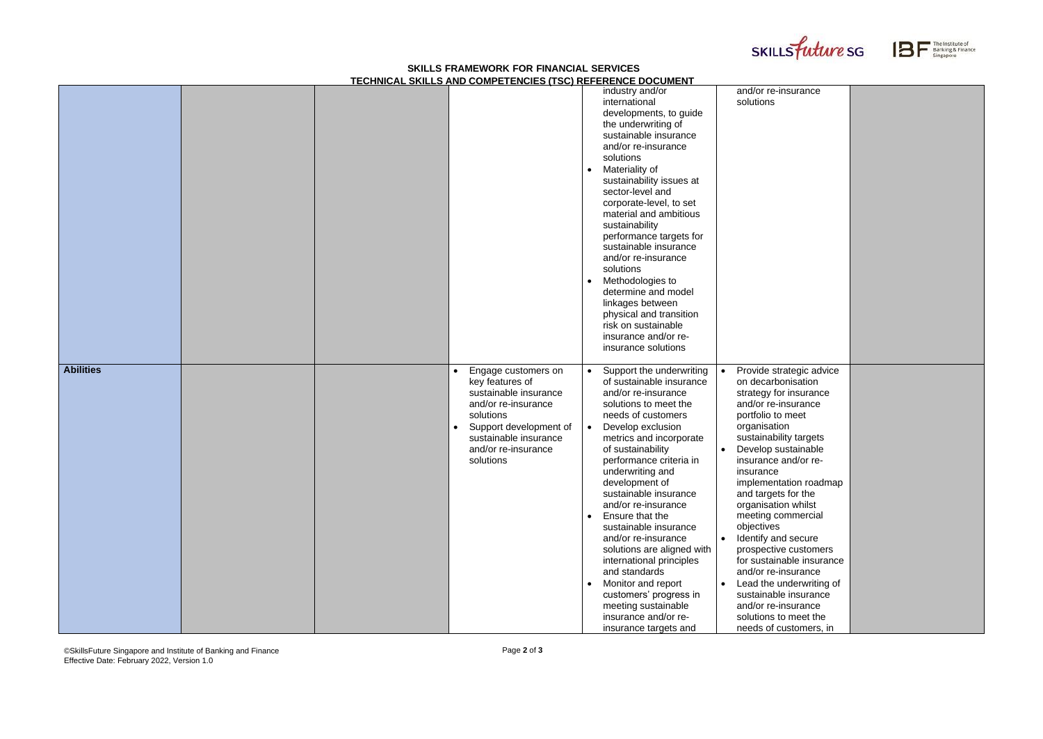## **SKILLS FRAMEWORK FOR FINANCIAL SERVICES TECHNICAL SKILLS AND COMPETENCIES (TSC) REFERENCE DOCUMENT**

©SkillsFuture Singapore and Institute of Banking and Finance Effective Date: February 2022, Version 1.0





|                  |  | <u>I LUI INIUAL UNILLU AND UUMI ETENUILU (TUU) NEI ENENUE DUUUMENT</u> |           |                                                 |           |                                                 |
|------------------|--|------------------------------------------------------------------------|-----------|-------------------------------------------------|-----------|-------------------------------------------------|
|                  |  |                                                                        |           | industry and/or                                 |           | and/or re-insurance                             |
|                  |  |                                                                        |           | international                                   |           | solutions                                       |
|                  |  |                                                                        |           | developments, to guide                          |           |                                                 |
|                  |  |                                                                        |           | the underwriting of                             |           |                                                 |
|                  |  |                                                                        |           | sustainable insurance                           |           |                                                 |
|                  |  |                                                                        |           | and/or re-insurance                             |           |                                                 |
|                  |  |                                                                        |           | solutions                                       |           |                                                 |
|                  |  |                                                                        | $\bullet$ | Materiality of                                  |           |                                                 |
|                  |  |                                                                        |           | sustainability issues at                        |           |                                                 |
|                  |  |                                                                        |           | sector-level and                                |           |                                                 |
|                  |  |                                                                        |           | corporate-level, to set                         |           |                                                 |
|                  |  |                                                                        |           | material and ambitious                          |           |                                                 |
|                  |  |                                                                        |           | sustainability                                  |           |                                                 |
|                  |  |                                                                        |           | performance targets for                         |           |                                                 |
|                  |  |                                                                        |           | sustainable insurance                           |           |                                                 |
|                  |  |                                                                        |           | and/or re-insurance                             |           |                                                 |
|                  |  |                                                                        |           | solutions                                       |           |                                                 |
|                  |  |                                                                        | $\bullet$ | Methodologies to                                |           |                                                 |
|                  |  |                                                                        |           | determine and model                             |           |                                                 |
|                  |  |                                                                        |           | linkages between                                |           |                                                 |
|                  |  |                                                                        |           | physical and transition                         |           |                                                 |
|                  |  |                                                                        |           | risk on sustainable                             |           |                                                 |
|                  |  |                                                                        |           | insurance and/or re-                            |           |                                                 |
|                  |  |                                                                        |           | insurance solutions                             |           |                                                 |
|                  |  |                                                                        |           |                                                 |           |                                                 |
| <b>Abilities</b> |  | Engage customers on                                                    | $\bullet$ | Support the underwriting                        |           | Provide strategic advice                        |
|                  |  | key features of<br>sustainable insurance                               |           | of sustainable insurance<br>and/or re-insurance |           | on decarbonisation                              |
|                  |  | and/or re-insurance                                                    |           | solutions to meet the                           |           | strategy for insurance<br>and/or re-insurance   |
|                  |  | solutions                                                              |           | needs of customers                              |           | portfolio to meet                               |
|                  |  | Support development of                                                 | $\bullet$ | Develop exclusion                               |           | organisation                                    |
|                  |  | sustainable insurance                                                  |           | metrics and incorporate                         |           | sustainability targets                          |
|                  |  | and/or re-insurance                                                    |           | of sustainability                               |           | Develop sustainable                             |
|                  |  | solutions                                                              |           | performance criteria in                         |           | insurance and/or re-                            |
|                  |  |                                                                        |           | underwriting and                                |           | insurance                                       |
|                  |  |                                                                        |           | development of                                  |           | implementation roadmap                          |
|                  |  |                                                                        |           | sustainable insurance                           |           | and targets for the                             |
|                  |  |                                                                        |           | and/or re-insurance                             |           | organisation whilst                             |
|                  |  |                                                                        | $\bullet$ | Ensure that the                                 |           | meeting commercial                              |
|                  |  |                                                                        |           | sustainable insurance                           |           | objectives                                      |
|                  |  |                                                                        |           |                                                 |           |                                                 |
|                  |  |                                                                        |           |                                                 |           |                                                 |
|                  |  |                                                                        |           | and/or re-insurance                             |           | Identify and secure                             |
|                  |  |                                                                        |           | solutions are aligned with                      |           | prospective customers                           |
|                  |  |                                                                        |           | international principles                        |           | for sustainable insurance                       |
|                  |  |                                                                        |           | and standards                                   |           | and/or re-insurance                             |
|                  |  |                                                                        | $\bullet$ | Monitor and report                              | $\bullet$ | Lead the underwriting of                        |
|                  |  |                                                                        |           | customers' progress in                          |           | sustainable insurance                           |
|                  |  |                                                                        |           | meeting sustainable                             |           | and/or re-insurance                             |
|                  |  |                                                                        |           | insurance and/or re-<br>insurance targets and   |           | solutions to meet the<br>needs of customers, in |

| and/or re-insurance       |  |
|---------------------------|--|
| solutions                 |  |
|                           |  |
|                           |  |
|                           |  |
|                           |  |
|                           |  |
|                           |  |
|                           |  |
|                           |  |
|                           |  |
|                           |  |
|                           |  |
|                           |  |
|                           |  |
|                           |  |
|                           |  |
|                           |  |
|                           |  |
|                           |  |
|                           |  |
|                           |  |
|                           |  |
|                           |  |
|                           |  |
|                           |  |
|                           |  |
|                           |  |
|                           |  |
| Provide strategic advice  |  |
| on decarbonisation        |  |
|                           |  |
| strategy for insurance    |  |
| and/or re-insurance       |  |
| portfolio to meet         |  |
| organisation              |  |
| sustainability targets    |  |
|                           |  |
| Develop sustainable       |  |
| insurance and/or re-      |  |
| insurance                 |  |
| implementation roadmap    |  |
| and targets for the       |  |
| organisation whilst       |  |
| meeting commercial        |  |
|                           |  |
| objectives                |  |
| Identify and secure       |  |
| prospective customers     |  |
| for sustainable insurance |  |
| and/or re-insurance       |  |
|                           |  |
| Lead the underwriting of  |  |
| sustainable insurance     |  |
| and/or re-insurance       |  |
| solutions to meet the     |  |
| needs of customers, in    |  |